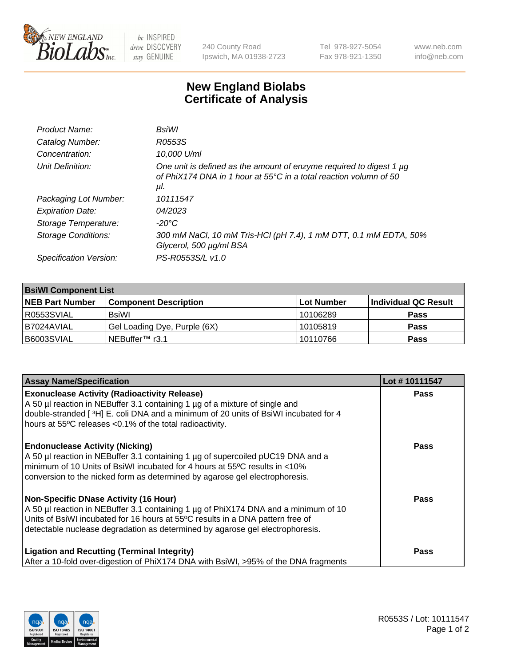

 $be$  INSPIRED drive DISCOVERY stay GENUINE

240 County Road Ipswich, MA 01938-2723 Tel 978-927-5054 Fax 978-921-1350 www.neb.com info@neb.com

## **New England Biolabs Certificate of Analysis**

| Product Name:           | BsiWl                                                                                                                                                     |
|-------------------------|-----------------------------------------------------------------------------------------------------------------------------------------------------------|
| Catalog Number:         | R0553S                                                                                                                                                    |
| Concentration:          | 10,000 U/ml                                                                                                                                               |
| Unit Definition:        | One unit is defined as the amount of enzyme required to digest 1 µg<br>of PhiX174 DNA in 1 hour at $55^{\circ}$ C in a total reaction volumn of 50<br>μΙ. |
| Packaging Lot Number:   | 10111547                                                                                                                                                  |
| <b>Expiration Date:</b> | 04/2023                                                                                                                                                   |
| Storage Temperature:    | $-20^{\circ}$ C                                                                                                                                           |
| Storage Conditions:     | 300 mM NaCl, 10 mM Tris-HCl (pH 7.4), 1 mM DTT, 0.1 mM EDTA, 50%<br>Glycerol, 500 µg/ml BSA                                                               |
| Specification Version:  | PS-R0553S/L v1.0                                                                                                                                          |

| <b>BsiWI Component List</b> |                              |            |                      |  |  |
|-----------------------------|------------------------------|------------|----------------------|--|--|
| <b>NEB Part Number</b>      | <b>Component Description</b> | Lot Number | Individual QC Result |  |  |
| R0553SVIAL                  | BsiWl                        | 10106289   | <b>Pass</b>          |  |  |
| B7024AVIAL                  | Gel Loading Dye, Purple (6X) | 10105819   | <b>Pass</b>          |  |  |
| B6003SVIAL                  | NEBuffer™ r3.1∣              | 10110766   | <b>Pass</b>          |  |  |

| <b>Assay Name/Specification</b>                                                                                                                                                                                                                                                                        | Lot #10111547 |
|--------------------------------------------------------------------------------------------------------------------------------------------------------------------------------------------------------------------------------------------------------------------------------------------------------|---------------|
| <b>Exonuclease Activity (Radioactivity Release)</b><br>A 50 µl reaction in NEBuffer 3.1 containing 1 µg of a mixture of single and                                                                                                                                                                     | <b>Pass</b>   |
| double-stranded [ $3H$ ] E. coli DNA and a minimum of 20 units of BsiWI incubated for 4<br>hours at 55°C releases <0.1% of the total radioactivity.                                                                                                                                                    |               |
| <b>Endonuclease Activity (Nicking)</b><br>A 50 µl reaction in NEBuffer 3.1 containing 1 µg of supercoiled pUC19 DNA and a<br>minimum of 10 Units of BsiWI incubated for 4 hours at 55°C results in <10%<br>conversion to the nicked form as determined by agarose gel electrophoresis.                 | <b>Pass</b>   |
| <b>Non-Specific DNase Activity (16 Hour)</b><br>A 50 µl reaction in NEBuffer 3.1 containing 1 µg of PhiX174 DNA and a minimum of 10<br>Units of BsiWI incubated for 16 hours at 55°C results in a DNA pattern free of<br>detectable nuclease degradation as determined by agarose gel electrophoresis. | Pass          |
| <b>Ligation and Recutting (Terminal Integrity)</b><br>After a 10-fold over-digestion of PhiX174 DNA with BsiWI, >95% of the DNA fragments                                                                                                                                                              | Pass          |